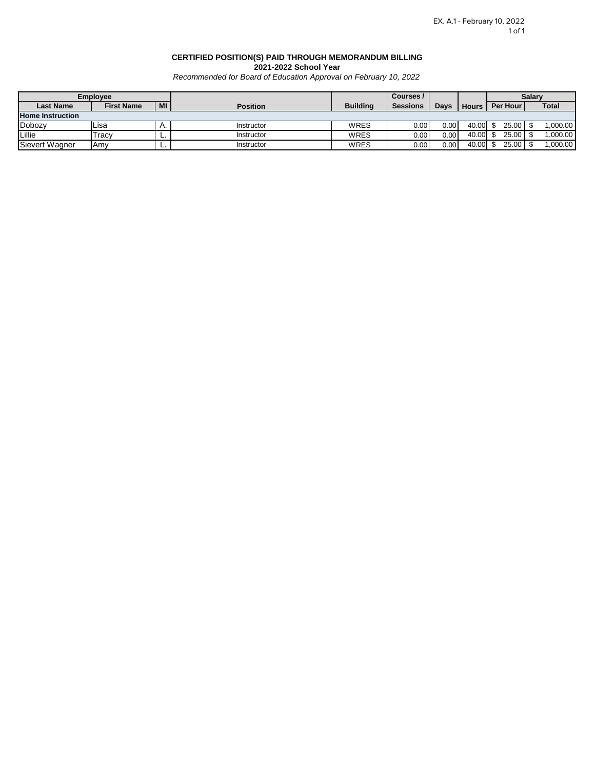#### **CERTIFIED POSITION(S) PAID THROUGH MEMORANDUM BILLING 2021-2022 School Year**

*Recommended for Board of Education Approval on February 10, 2022*

| <b>Employee</b>         |                   |    |                 | Courses /       |                 |       |              | <b>Salarv</b> |  |              |
|-------------------------|-------------------|----|-----------------|-----------------|-----------------|-------|--------------|---------------|--|--------------|
| <b>Last Name</b>        | <b>First Name</b> | MI | <b>Position</b> | <b>Building</b> | <b>Sessions</b> | Days  | <b>Hours</b> | Per Hour      |  | <b>Total</b> |
| <b>Home Instruction</b> |                   |    |                 |                 |                 |       |              |               |  |              |
| Dobozy                  | Lisa              | л. | Instructor      | WRES            | 0.00            | 0.001 | 40.00        | 25.00         |  | 0.000.00     |
| Lillie                  | Tracy             | -  | Instructor      | WRES            | 0.00            | 0.00  | 40.00        | 25.00         |  | 00.000.1     |
| Sievert Wagner          | Amv               | -  | Instructor      | WRES            | 0.00            | 0.001 | 40.00        | 25.00         |  | 0.000.00     |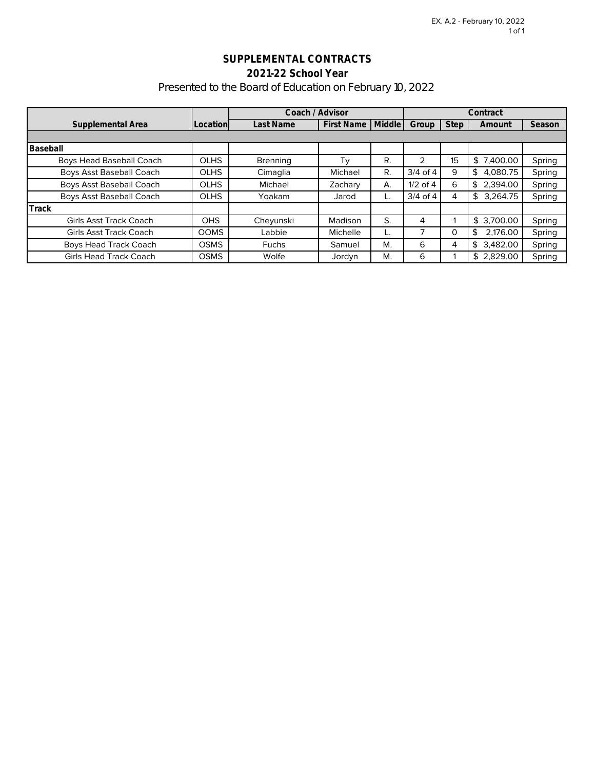# **SUPPLEMENTAL CONTRACTS 2021-22 School Year** Presented to the Board of Education on February 10, 2022

|                                 |             | Coach / Advisor |                   |               |              |             | Contract       |        |
|---------------------------------|-------------|-----------------|-------------------|---------------|--------------|-------------|----------------|--------|
| Supplemental Area               | Location    | Last Name       | <b>First Name</b> | <b>Middle</b> | Group        | <b>Step</b> | Amount         | Season |
|                                 |             |                 |                   |               |              |             |                |        |
| Baseball                        |             |                 |                   |               |              |             |                |        |
| <b>Boys Head Baseball Coach</b> | <b>OLHS</b> | Brenning        | Τv                | R.            | 2            | 15          | \$7,400.00     | Spring |
| <b>Boys Asst Baseball Coach</b> | <b>OLHS</b> | Cimaglia        | Michael           | R.            | $3/4$ of 4   | 9           | \$<br>4.080.75 | Spring |
| <b>Boys Asst Baseball Coach</b> | <b>OLHS</b> | Michael         | Zachary           | А.            | $1/2$ of $4$ | 6           | \$<br>2.394.00 | Spring |
| Boys Asst Baseball Coach        | <b>OLHS</b> | Yoakam          | Jarod             |               | $3/4$ of 4   | 4           | \$<br>3.264.75 | Spring |
| Track                           |             |                 |                   |               |              |             |                |        |
| <b>Girls Asst Track Coach</b>   | <b>OHS</b>  | Cheyunski       | Madison           | S.            | 4            |             | \$3.700.00     | Spring |
| <b>Girls Asst Track Coach</b>   | <b>OOMS</b> | Labbie          | Michelle          |               |              | 0           | \$<br>2.176.00 | Spring |
| <b>Boys Head Track Coach</b>    | <b>OSMS</b> | <b>Fuchs</b>    | Samuel            | M.            | 6            | 4           | \$<br>3,482.00 | Spring |
| <b>Girls Head Track Coach</b>   | <b>OSMS</b> | Wolfe           | Jordyn            | М.            | 6            |             | \$2,829.00     | Spring |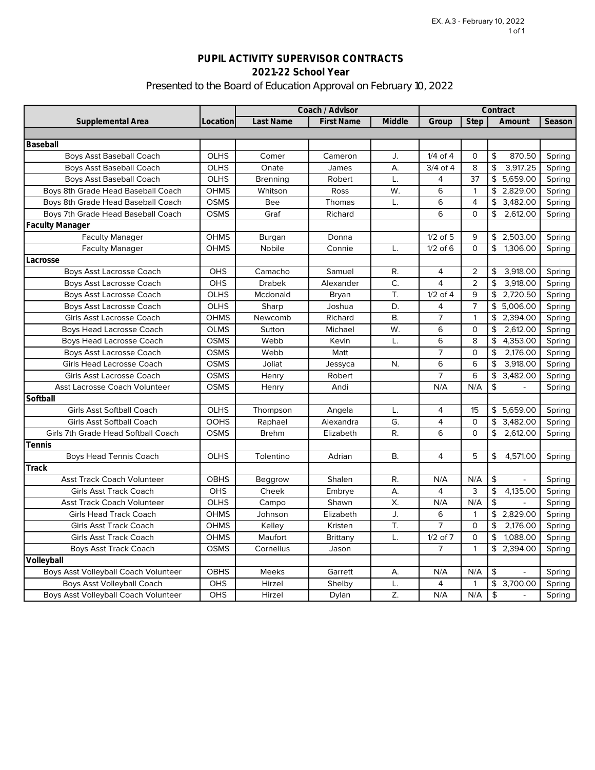# **PUPIL ACTIVITY SUPERVISOR CONTRACTS 2021-22 School Year** Presented to the Board of Education Approval on February 10, 2022

|                                             |             | Coach / Advisor |                   |           |                         |                | Contract       |        |
|---------------------------------------------|-------------|-----------------|-------------------|-----------|-------------------------|----------------|----------------|--------|
| Supplemental Area                           | Location    | Last Name       | <b>First Name</b> | Middle    | Group                   | Step           | Amount         | Season |
|                                             |             |                 |                   |           |                         |                |                |        |
| Baseball                                    |             |                 |                   |           |                         |                |                |        |
| <b>Boys Asst Baseball Coach</b>             | <b>OLHS</b> | Comer           | Cameron           | J.        | $1/4$ of $4$            | 0              | \$<br>870.50   | Spring |
| <b>Boys Asst Baseball Coach</b>             | <b>OLHS</b> | Onate           | James             | А.        | $3/4$ of $\overline{4}$ | 8              | \$<br>3,917.25 | Spring |
| <b>Boys Asst Baseball Coach</b>             | <b>OLHS</b> | <b>Brenning</b> | Robert            | L.        | 4                       | 37             | \$<br>5,659.00 | Spring |
| Boys 8th Grade Head Baseball Coach          | OHMS        | Whitson         | Ross              | W.        | 6                       | $\mathbf{1}$   | \$<br>2,829.00 | Spring |
| Boys 8th Grade Head Baseball Coach          | <b>OSMS</b> | Bee             | Thomas            | L.        | 6                       | 4              | 3,482.00<br>\$ | Spring |
| Boys 7th Grade Head Baseball Coach          | <b>OSMS</b> | Graf            | Richard           |           | 6                       | $\Omega$       | \$<br>2,612.00 | Spring |
| <b>Faculty Manager</b>                      |             |                 |                   |           |                         |                |                |        |
| <b>Faculty Manager</b>                      | <b>OHMS</b> | Burgan          | Donna             |           | $1/2$ of $5$            | 9              | \$2,503.00     | Spring |
| <b>Faculty Manager</b>                      | <b>OHMS</b> | Nobile          | Connie            | L.        | $1/2$ of 6              | $\Omega$       | \$<br>1,306.00 | Spring |
| Lacrosse                                    |             |                 |                   |           |                         |                |                |        |
| Boys Asst Lacrosse Coach                    | OHS         | Camacho         | Samuel            | R.        | 4                       | 2              | \$<br>3,918.00 | Spring |
| Boys Asst Lacrosse Coach                    | OHS         | <b>Drabek</b>   | Alexander         | C.        | $\overline{4}$          | 2              | 3,918.00<br>\$ | Spring |
| Boys Asst Lacrosse Coach                    | OLHS        | Mcdonald        | Bryan             | T.        | $1/2$ of $4$            | 9              | \$<br>2,720.50 | Spring |
| Boys Asst Lacrosse Coach                    | OLHS        | Sharp           | Joshua            | D.        | 4                       | $\overline{7}$ | \$<br>5,006.00 | Spring |
| Girls Asst Lacrosse Coach                   | <b>OHMS</b> | Newcomb         | Richard           | В.        | 7                       | 1              | 2,394.00<br>\$ | Spring |
| Boys Head Lacrosse Coach                    | <b>OLMS</b> | Sutton          | Michael           | W.        | 6                       | $\circ$        | \$<br>2,612.00 | Spring |
| Boys Head Lacrosse Coach                    | <b>OSMS</b> | Webb            | Kevin             | L.        | 6                       | 8              | 4,353.00<br>\$ | Spring |
| Boys Asst Lacrosse Coach                    | <b>OSMS</b> | Webb            | Matt              |           | $\overline{7}$          | 0              | \$<br>2,176.00 | Spring |
| Girls Head Lacrosse Coach                   | <b>OSMS</b> | Joliat          | Jessyca           | N.        | 6                       | 6              | \$<br>3,918.00 | Spring |
| Girls Asst Lacrosse Coach                   | <b>OSMS</b> | Henry           | Robert            |           | 7                       | 6              | \$<br>3,482.00 | Spring |
| Asst Lacrosse Coach Volunteer               | <b>OSMS</b> | Henry           | Andi              |           | N/A                     | N/A            | \$             | Spring |
| Softball                                    |             |                 |                   |           |                         |                |                |        |
| <b>Girls Asst Softball Coach</b>            | OLHS        | Thompson        | Angela            | L.        | $\overline{4}$          | 15             | \$<br>5,659.00 | Spring |
| <b>Girls Asst Softball Coach</b>            | <b>OOHS</b> | Raphael         | Alexandra         | G.        | 4                       | $\Omega$       | \$<br>3,482.00 | Spring |
| Girls 7th Grade Head Softball Coach         | <b>OSMS</b> | <b>Brehm</b>    | Elizabeth         | R.        | 6                       | $\Omega$       | 2,612.00<br>\$ | Spring |
| Tennis                                      |             |                 |                   |           |                         |                |                |        |
| <b>Boys Head Tennis Coach</b>               | <b>OLHS</b> | Tolentino       | Adrian            | <b>B.</b> | $\overline{4}$          | 5              | \$<br>4,571.00 | Spring |
| Track                                       |             |                 |                   |           |                         |                |                |        |
| <b>Asst Track Coach Volunteer</b>           | <b>OBHS</b> | Beggrow         | Shalen            | R.        | N/A                     | N/A            | \$             | Spring |
| <b>Girls Asst Track Coach</b>               | OHS         | Cheek           | Embrye            | А.        | 4                       | 3              | \$<br>4,135.00 | Spring |
| <b>Asst Track Coach Volunteer</b>           | OLHS        | Campo           | Shawn             | X.        | N/A                     | N/A            | \$             | Spring |
| <b>Girls Head Track Coach</b>               | <b>OHMS</b> | Johnson         | Elizabeth         | J.        | 6                       | 1              | \$<br>2,829.00 | Spring |
| <b>Girls Asst Track Coach</b>               | <b>OHMS</b> | Kelley          | Kristen           | T.        | $\overline{7}$          | $\Omega$       | \$<br>2,176.00 | Spring |
| <b>Girls Asst Track Coach</b>               | <b>OHMS</b> | Maufort         | <b>Brittany</b>   | L.        | $1/2$ of $7$            | $\circ$        | \$<br>1,088.00 | Spring |
| <b>Boys Asst Track Coach</b>                | <b>OSMS</b> | Cornelius       | Jason             |           | 7                       | $\mathbf{1}$   | \$<br>2,394.00 | Spring |
| Volleyball                                  |             |                 |                   |           |                         |                |                |        |
| Boys Asst Volleyball Coach Volunteer        | OBHS        | <b>Meeks</b>    | Garrett           | А.        | N/A                     | N/A            | \$             | Spring |
| Boys Asst Volleyball Coach                  | OHS         | Hirzel          | Shelby            | L.        | 4                       | $\mathbf{1}$   | \$<br>3,700.00 | Spring |
| <b>Boys Asst Volleyball Coach Volunteer</b> | <b>OHS</b>  | Hirzel          | Dylan             | Z.        | N/A                     | N/A            | \$             | Spring |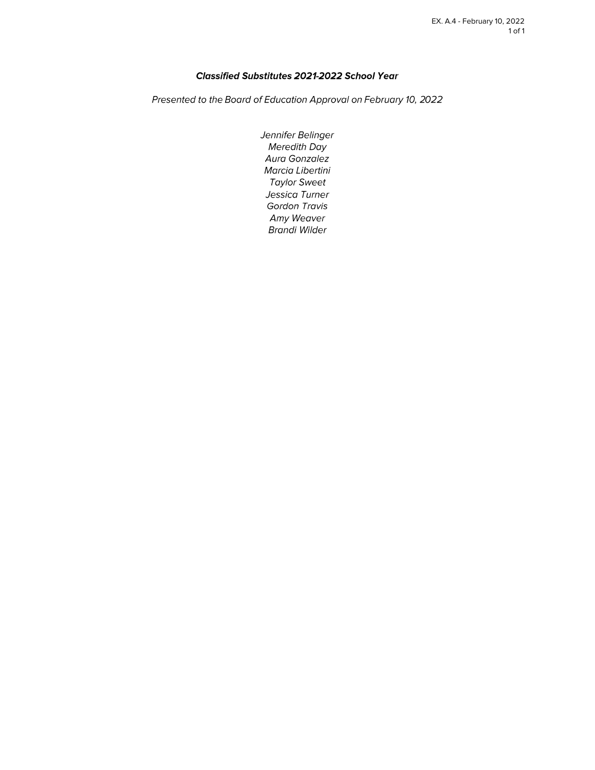### Classified Substitutes 2021-2022 School Year

Presented to the Board of Education Approval on February 10, 2022

Jennifer Belinger **Meredith Day** Aura Gonzalez Marcia Libertini **Taylor Sweet** Jessica Turner Gordon Travis Amy Weaver **Brandi Wilder**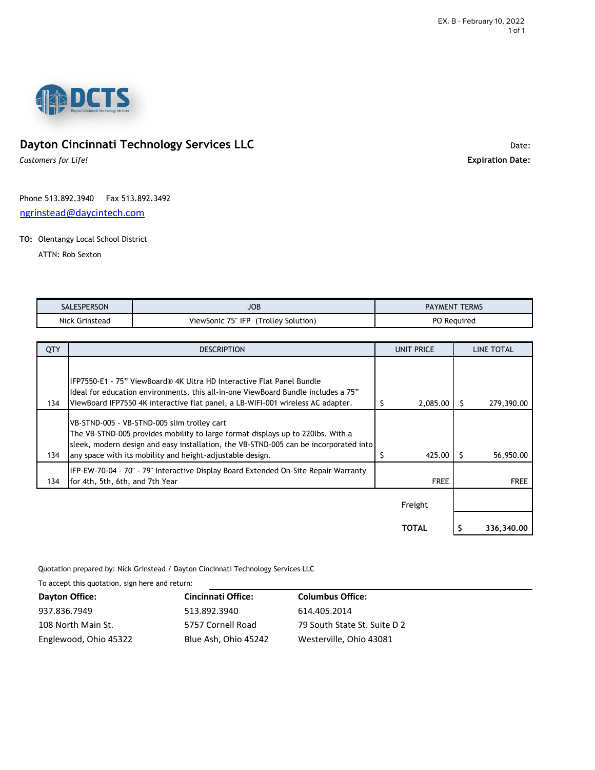

# **Dayton Cincinnati Technology Services LLC** Date: Date: Date: Date:

*Customers for Life!* **Expiration Date:**

Phone 513.892.3940 Fax 513.892.3492 [ngrinstead@daycintech.com](mailto:ngrinstead@daycintech.com)

### **TO:** Olentangy Local School District

ATTN: Rob Sexton

| SALESPERSON         | <b>JOB</b>                                    | TERMS<br><b>PAYMEN!</b> |
|---------------------|-----------------------------------------------|-------------------------|
| Nick<br>. Grinstead | . 75" IFP<br>ViewSonic.<br>'Trolley Solution) | PO<br>Reauirea<br>__    |

| QTY | <b>DESCRIPTION</b>                                                                                                                                                                                                                                                                  |   | UNIT PRICE   |   | LINE TOTAL  |
|-----|-------------------------------------------------------------------------------------------------------------------------------------------------------------------------------------------------------------------------------------------------------------------------------------|---|--------------|---|-------------|
| 134 | IFP7550-E1 - 75" ViewBoard® 4K Ultra HD Interactive Flat Panel Bundle<br>Ideal for education environments, this all-in-one ViewBoard Bundle includes a 75"<br>ViewBoard IFP7550 4K interactive flat panel, a LB-WIFI-001 wireless AC adapter.                                       | S | 2,085.00     |   | 279,390.00  |
| 134 | VB-STND-005 - VB-STND-005 slim trolley cart<br>The VB-STND-005 provides mobility to large format displays up to 220lbs. With a<br>sleek, modern design and easy installation, the VB-STND-005 can be incorporated into<br>any space with its mobility and height-adjustable design. | S | 425.00       | S | 56,950.00   |
| 134 | IFP-EW-70-04 - 70" - 79" Interactive Display Board Extended On-Site Repair Warranty<br>for 4th, 5th, 6th, and 7th Year                                                                                                                                                              |   | <b>FREE</b>  |   | <b>FREE</b> |
|     |                                                                                                                                                                                                                                                                                     |   | Freight      |   |             |
|     |                                                                                                                                                                                                                                                                                     |   | <b>TOTAL</b> |   | 336,340,00  |

Quotation prepared by: Nick Grinstead / Dayton Cincinnati Technology Services LLC

To accept this quotation, sign here and return:

| Dayton Office:        | <b>Cincinnati Office:</b> | <b>Columbus Office:</b>      |
|-----------------------|---------------------------|------------------------------|
| 937.836.7949          | 513.892.3940              | 614.405.2014                 |
| 108 North Main St.    | 5757 Cornell Road         | 79 South State St. Suite D 2 |
| Englewood, Ohio 45322 | Blue Ash, Ohio 45242      | Westerville, Ohio 43081      |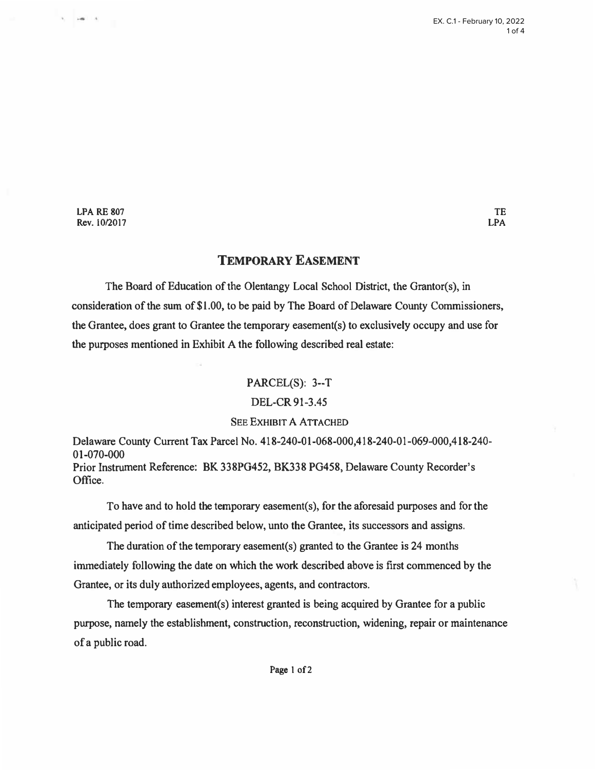LPA RE 807 Rev. 10/2017

 $-100$ 

## **TEMPORARY EASEMENT**

**The Board of Education of the Olentangy Local School District, the Grantor(s), in consideration of the sum of \$1.00, to be paid by The Board of Delaware County Commissioners, the Grantee, does grant to Grantee the temporary easement(s) to exclusively occupy and use for the purposes mentioned in Exhibit A the following described real estate:** 

### **PARCEL(S): 3--T**

### **DEL-CR91-3.45**

### **SEE EXHIBIT A ATTACHED**

**Delaware County Current Tax Parcel No. 418-240-0 l-068-000,418-240-0 l-069-000,418-240- 01-070-000 Prior Instrument Reference: BK 338PG452, BK338 PG458, Delaware County Recorder's Office.**

**To have and to hold the temporary easement(s), for the aforesaid purposes and for the anticipated period of time described below, unto the Grantee, its successors and assigns.** 

**The duration of the temporary easement(s) granted to the Grantee is 24 months immediately following the date on which the work described above is first commenced by the Grantee, or its duly authorized employees, agents, and contractors.** 

**The temporary easement(s) interest granted is being acquired by Grantee for a public purpose, namely the establishment, construction, reconstruction, widening, repair or maintenance of a public road.**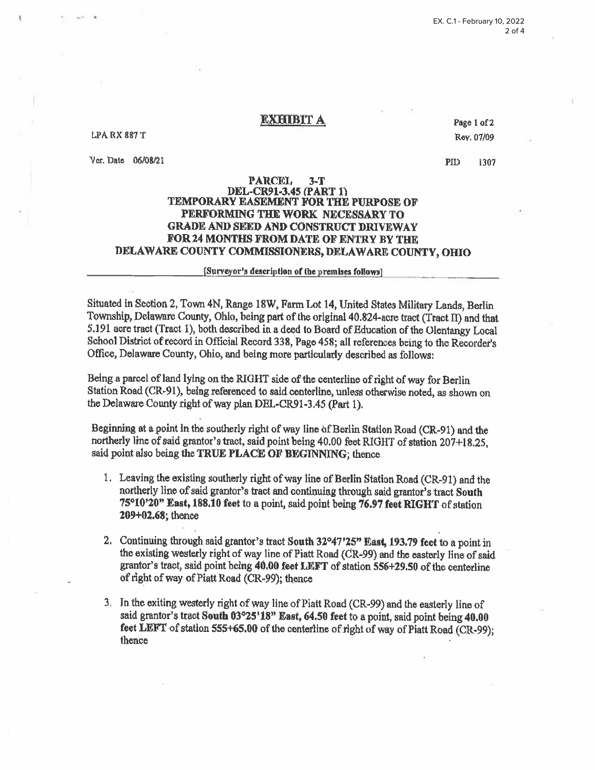**LPA RX 887 T** 

Ver. Date 06/08/21

Page 1 of 2 Rev. 07/09

**PID** 1307

#### **PARCEL**  $3 - T$ **DEL-CR91-3.45 (PART 1)** TEMPORARY EASEMENT FOR THE PURPOSE OF PERFORMING THE WORK NECESSARY TO GRADE AND SEED AND CONSTRUCT DRIVEWAY FOR 24 MONTHS FROM DATE OF ENTRY BY THE DELAWARE COUNTY COMMISSIONERS, DELAWARE COUNTY, OHIO

### [Surveyor's description of the premises follows]

Situated in Section 2, Town 4N, Range 18W, Farm Lot 14, United States Military Lands, Berlin Township, Delaware County, Ohlo, being part of the original 40.824-acre tract (Tract II) and that 5.191 acre tract (Tract 1), both described in a deed to Board of Education of the Olentangy Local School District of record in Official Record 338, Page 458; all references being to the Recorder's Office, Delaware County, Ohio, and being more particularly described as follows:

Being a parcel of land lying on the RIGHT side of the centerline of right of way for Berlin Station Road (CR-91), being referenced to said centerline, unless otherwise noted, as shown on the Delaware County right of way plan DEL-CR91-3.45 (Part 1).

Beginning at a point in the southerly right of way line of Berlin Station Road (CR-91) and the northerly line of said grantor's tract, said point being 40.00 feet RIGHT of station 207+18.25. said point also being the TRUE PLACE OF BEGINNING; thence

- 1. Leaving the existing southerly right of way line of Berlin Station Road (CR-91) and the northerly line of said grantor's tract and continuing through said grantor's tract South 75°10'20" East, 188.10 feet to a point, said point being 76.97 feet RIGHT of station 209+02.68; thence
- 2. Continuing through said grantor's tract South 32°47'25" East, 193.79 feet to a point in the existing westerly right of way line of Piatt Road (CR-99) and the easterly line of said grantor's tract, said point being 40.00 feet LEFT of station 556+29.50 of the centerline of right of way of Piatt Road (CR-99); thence
- 3. In the exiting westerly right of way line of Piatt Road (CR-99) and the easterly line of said grantor's tract South 03°25'18" East, 64.50 feet to a point, said point being 40.00 feet LEFT of station 555+65.00 of the centerline of right of way of Piatt Road (CR-99); thence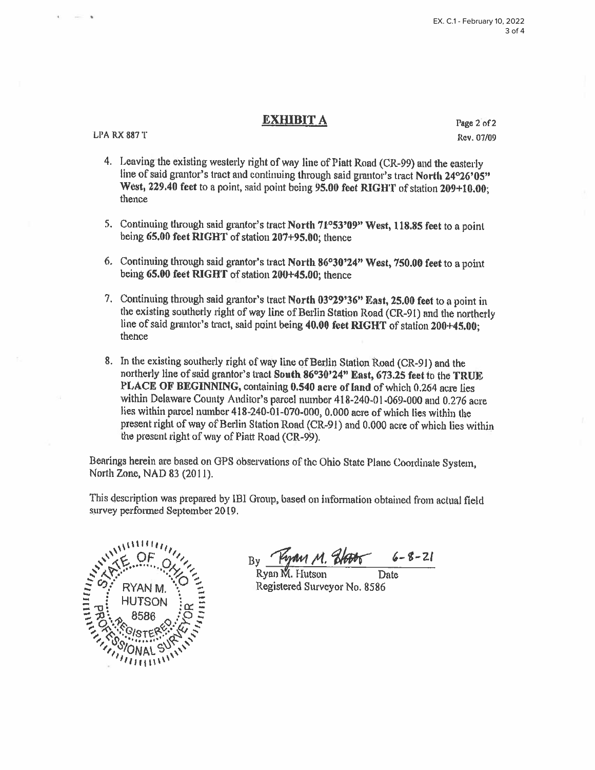**LPA RX 887 T** 

Page 2 of 2 Rev. 07/09

- 4. Leaving the existing westerly right of way line of Piatt Road (CR-99) and the easterly line of said grantor's tract and continuing through said grantor's tract North 24°26'05" West, 229.40 feet to a point, said point being 95.00 feet RIGHT of station 209+10.00; thence
- 5. Continuing through said grantor's tract North 71°53'09" West, 118.85 feet to a point being 65.00 feet RIGHT of station 207+95.00: thence
- 6. Continuing through said grantor's tract North 86°30'24" West, 750.00 feet to a point being 65.00 feet RIGHT of station 200+45.00; thence
- 7. Continuing through said grantor's tract North 03°29'36" East, 25.00 feet to a point in the existing southerly right of way line of Berlin Station Road (CR-91) and the northerly line of said grantor's tract, said point being 40.00 feet RIGHT of station 200+45.00; thence
- 8. In the existing southerly right of way line of Berlin Station Road (CR-91) and the northerly line of said grantor's tract South 86°30'24" East, 673.25 feet to the TRUE PLACE OF BEGINNING, containing 0.540 acre of land of which 0.264 acre lies within Delaware County Auditor's parcel number 418-240-01-069-000 and 0.276 acre lies within parcel number 418-240-01-070-000, 0.000 acre of which lies within the present right of way of Berlin Station Road (CR-91) and 0.000 acre of which lies within the present right of way of Piatt Road (CR-99).

Bearings herein are based on GPS observations of the Ohio State Plane Coordinate System, North Zone, NAD 83 (2011).

This description was prepared by IBI Group, based on information obtained from actual field survey performed September 2019.



y Kyan M. 21006

Date Registered Surveyor No. 8586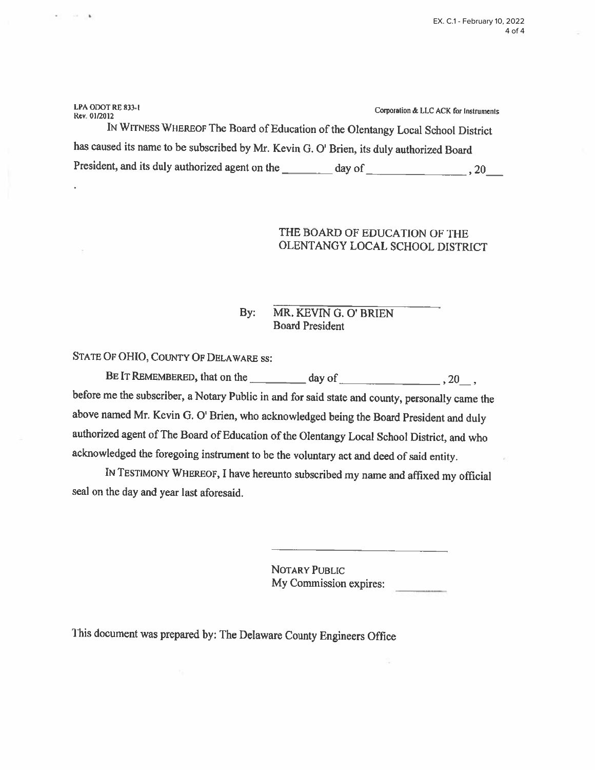LPA ODOT RE 833-1 Corporation & LLC ACK for Instruments Rev. 01/2012 IN WITNESS WHEREOF The Board of Education of the Olentangy Local School District has caused its name to be subscribed by Mr. Kevin G. O' Brien, its duly authorized Board 

# THE BOARD OF EDUCATION OF THE OLENTANGY LOCAL SCHOOL DISTRICT

#### MR. KEVIN G. O' BRIEN  $\mathbf{By:}$ **Board President**

STATE OF OHIO, COUNTY OF DELAWARE SS:

**STATE OF BR** 

.

BE IT REMEMBERED, that on the day of day of 30, 30, before me the subscriber, a Notary Public in and for said state and county, personally came the above named Mr. Kevin G. O' Brien, who acknowledged being the Board President and duly authorized agent of The Board of Education of the Olentangy Local School District, and who acknowledged the foregoing instrument to be the voluntary act and deed of said entity.

IN TESTIMONY WHEREOF, I have hereunto subscribed my name and affixed my official seal on the day and year last aforesaid.

> NOTARY PUBLIC My Commission expires:

This document was prepared by: The Delaware County Engineers Office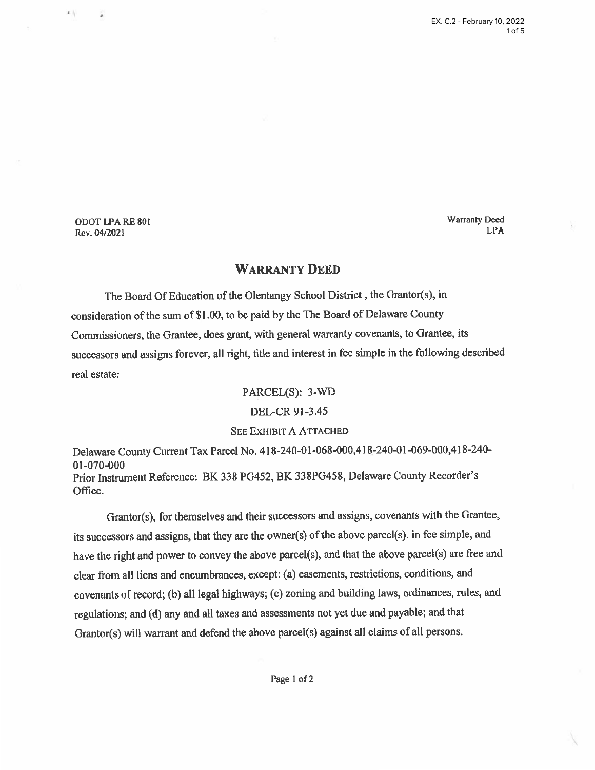ODOT LPA RE 801 Rev. 04/2021

 $\mathbf{z}$  .

 $\lambda$ 

**Warranty Deed LPA** 

## **WARRANTY DEED**

The Board Of Education of the Olentangy School District, the Grantor(s), in consideration of the sum of \$1.00, to be paid by the The Board of Delaware County Commissioners, the Grantee, does grant, with general warranty covenants, to Grantee, its successors and assigns forever, all right, title and interest in fee simple in the following described real estate:

PARCEL(S): 3-WD

### DEL-CR 91-3.45

### **SEE EXHIBIT A ATTACHED**

Delaware County Current Tax Parcel No. 418-240-01-068-000,418-240-01-069-000,418-240-01-070-000 Prior Instrument Reference: BK 338 PG452, BK 338PG458, Delaware County Recorder's Office.

Grantor(s), for themselves and their successors and assigns, covenants with the Grantee, its successors and assigns, that they are the owner(s) of the above parcel(s), in fee simple, and have the right and power to convey the above parcel(s), and that the above parcel(s) are free and clear from all liens and encumbrances, except: (a) easements, restrictions, conditions, and covenants of record; (b) all legal highways; (c) zoning and building laws, ordinances, rules, and regulations; and (d) any and all taxes and assessments not yet due and payable; and that Grantor(s) will warrant and defend the above parcel(s) against all claims of all persons.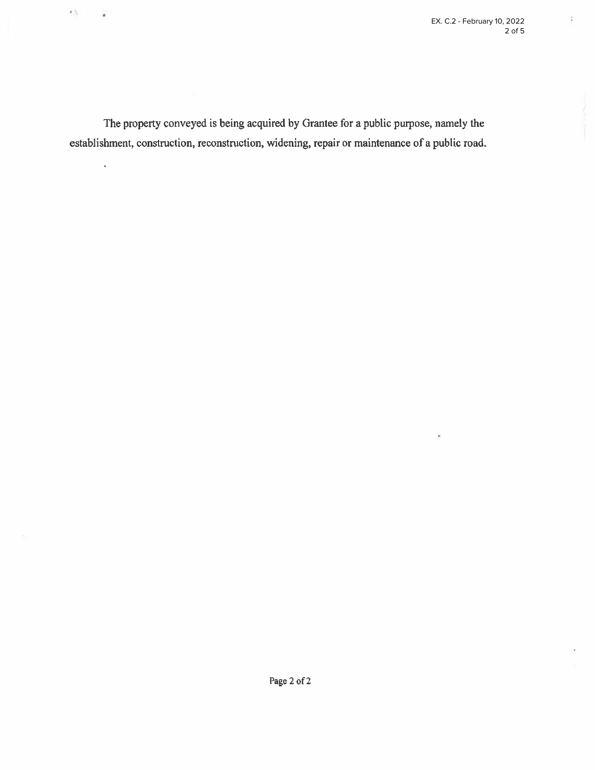ř.

The property conveyed is being acquired by Grantee for a public purpose, namely the establishment, construction, reconstruction, widening, repair or maintenance of a public road.

 $\ell$  ).

 $\qquad \qquad$ 

 $\ddot{\phantom{0}}$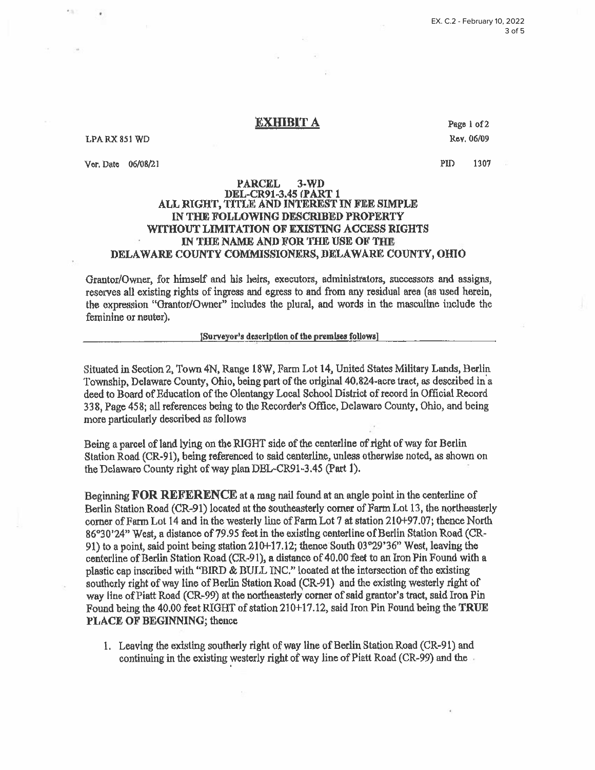#### EX. C.2 - February 10, 2022  $3$  of  $5$

### **EXHIBIT A**

#### LPA RX 851 WD

KS.

Vor. Date 06/08/21

Page 1 of 2 Rev. 06/09

PID 1307

#### **PARCEL**  $3-WD$ DEL-CR91-3.45 (PART 1 ALL RIGHT, TITLE AND INTEREST IN FEE SIMPLE IN THE FOLLOWING DESCRIBED PROPERTY **WITHOUT LIMITATION OF EXISTING ACCESS RIGHTS** IN THE NAME AND FOR THE USE OF THE DELAWARE COUNTY COMMISSIONERS, DELAWARE COUNTY, OHIO

Grantor/Owner, for himself and his heirs, executors, administrators, successors and assigns, reserves all existing rights of ingress and egress to and from any residual area (as used herein, the expression "Grantor/Owner" includes the plural, and words in the masculine include the feminine or neuter).

#### [Surveyor's description of the premises follows]

Situated in Section 2, Town 4N, Range 18W, Farm Lot 14, United States Military Lands, Berlin Township, Delaware County, Ohio, being part of the original 40,824-acre tract, as described in a deed to Board of Education of the Olentangy Local School District of record in Official Record 338, Page 458; all references being to the Recorder's Office, Delaware County, Ohio, and being more particularly described as follows

Being a parcel of land lying on the RIGHT side of the centerline of right of way for Berlin Station Road (CR-91), being referenced to said centerline, unless otherwise noted, as shown on the Delaware County right of way plan DEL-CR91-3.45 (Part 1).

Beginning FOR REFERENCE at a mag nail found at an angle point in the centerline of Berlin Station Road (CR-91) located at the southeasterly corner of Farm Lot 13, the northeasterly corner of Farm Lot 14 and in the westerly line of Farm Lot 7 at station 210+97.07; thence North 86°30'24" West, a distance of 79.95 feet in the existing centerline of Berlin Station Road (CR-91) to a point, said point being station 210+17.12; thence South 03°29'36" West, leaving the centerline of Berlin Station Road (CR-91), a distance of 40.00 feet to an Iron Pin Found with a plastic cap inscribed with "BIRD & BULL INC." located at the intersection of the existing southerly right of way line of Berlin Station Road (CR-91) and the existing westerly right of way line of Piatt Road (CR-99) at the northeasterly corner of said grantor's tract, said Iron Pin Found being the 40.00 feet RIGHT of station 210+17.12, said Iron Pin Found being the TRUE PLACE OF BEGINNING; thence

1. Leaving the existing southerly right of way line of Berlin Station Road (CR-91) and continuing in the existing westerly right of way line of Piatt Road (CR-99) and the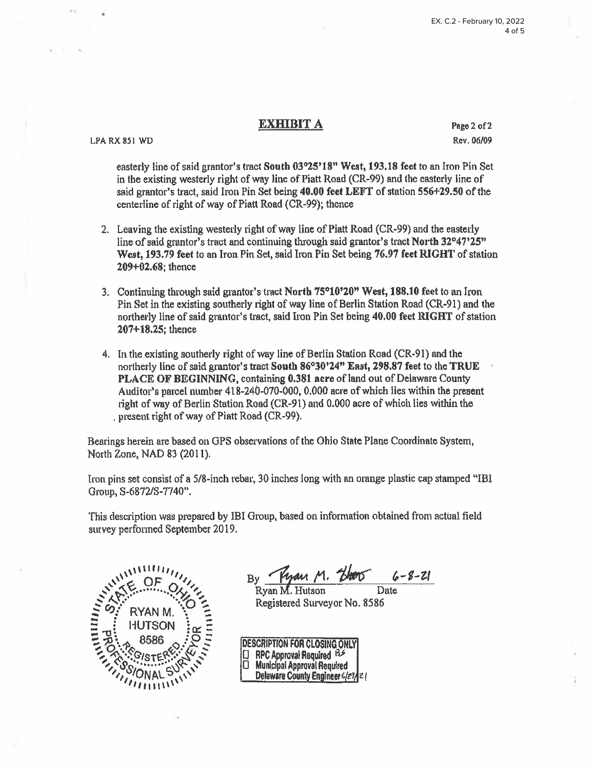LPA RX 851 WD

Page 2 of 2 Rev. 06/09

easterly line of said grantor's tract South 03°25'18" West, 193.18 feet to an Iron Pin Set in the existing westerly right of way line of Piatt Road (CR-99) and the easterly line of said grantor's tract, said Iron Pin Set being 40.00 feet LEFT of station 556+29.50 of the centerline of right of way of Piatt Road (CR-99); thence

- 2. Leaving the existing westerly right of way line of Piatt Road (CR-99) and the easterly line of said grantor's tract and continuing through said grantor's tract North 32°47'25" West, 193.79 feet to an Iron Pin Set, said Iron Pin Set being 76.97 feet RIGHT of station  $209 + 02.68$ ; thence
- 3. Continuing through said grantor's tract North 75°10'20" West, 188.10 feet to an Iron Pin Set in the existing southerly right of way line of Berlin Station Road (CR-91) and the northerly line of said grantor's tract, said Iron Pin Set being 40.00 feet RIGHT of station 207+18.25; thence
- 4. In the existing southerly right of way line of Berlin Station Road (CR-91) and the northerly line of said grantor's tract South 86°30'24" East, 298.87 feet to the TRUE PLACE OF BEGINNING, containing 0.381 acre of land out of Delaware County Auditor's parcel number 418-240-070-000, 0.000 acre of which lies within the present right of way of Berlin Station Road (CR-91) and 0.000 acre of which lies within the present right of way of Piatt Road (CR-99).

Bearings herein are based on GPS observations of the Ohio State Plane Coordinate System, North Zone, NAD 83 (2011).

Iron pins set consist of a 5/8-inch rebar, 30 inches long with an orange plastic cap stamped "IBI Group, S-6872/S-7740".

This description was prepared by IBI Group, based on information obtained from actual field survey performed September 2019.



Ryan M. Hutson Date Registered Surveyor No. 8586

DESCRIPTION FOR CLOSING ONLY RPC Approval Required BS 0 Ω **Municipal Approval Required** Delaware County Engineer 6/27/21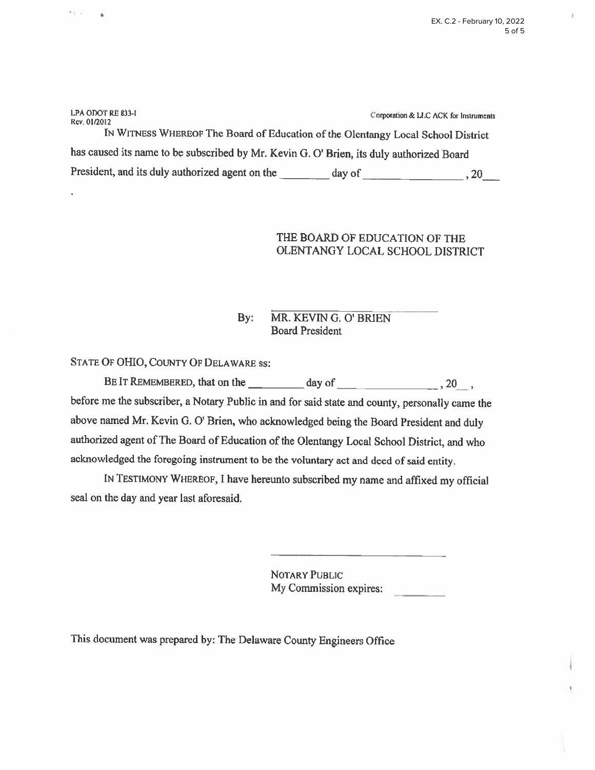| LPA ODOT RE 833-I                                                                        |        | Corporation & LLC ACK for Instruments |  |  |  |  |
|------------------------------------------------------------------------------------------|--------|---------------------------------------|--|--|--|--|
| Rev. 01/2012                                                                             |        |                                       |  |  |  |  |
| IN WITNESS WHEREOF The Board of Education of the Olentangy Local School District         |        |                                       |  |  |  |  |
| has caused its name to be subscribed by Mr. Kevin G. O' Brien, its duly authorized Board |        |                                       |  |  |  |  |
| President, and its duly authorized agent on the                                          | day of | -20                                   |  |  |  |  |

# THE BOARD OF EDUCATION OF THE OLENTANGY LOCAL SCHOOL DISTRICT

#### $Bv:$ MR. KEVIN G. O' BRIEN **Board President**

STATE OF OHIO, COUNTY OF DELAWARE SS:

세도

à.

before me the subscriber, a Notary Public in and for said state and county, personally came the above named Mr. Kevin G. O' Brien, who acknowledged being the Board President and duly authorized agent of The Board of Education of the Olentangy Local School District, and who acknowledged the foregoing instrument to be the voluntary act and deed of said entity.

IN TESTIMONY WHEREOF, I have hereunto subscribed my name and affixed my official seal on the day and year last aforesaid.

> NOTARY PUBLIC My Commission expires:

This document was prepared by: The Delaware County Engineers Office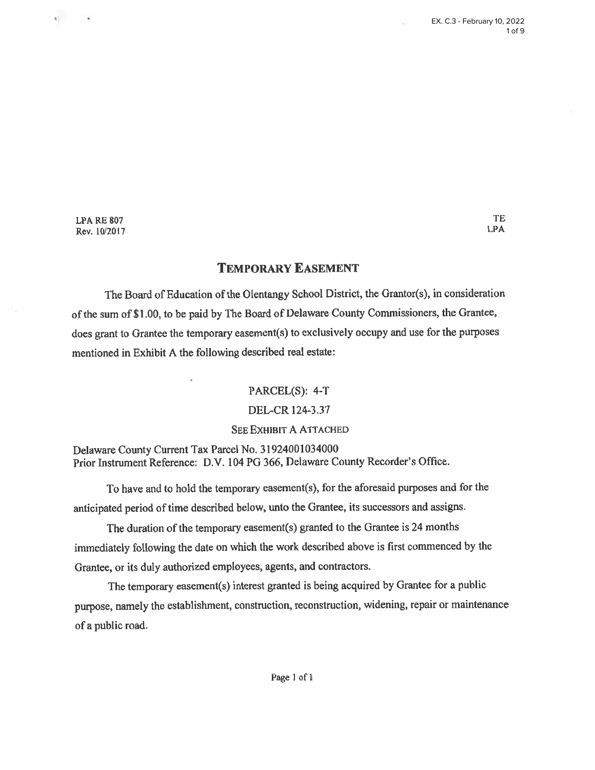TE

**LPA** 

**LPA RE 807** Rev. 10/2017

 $\mathbf{q}^{\pm}_{\pm}$ 

 $\rightarrow$ 

## **TEMPORARY EASEMENT**

The Board of Education of the Olentangy School District, the Grantor(s), in consideration of the sum of \$1.00, to be paid by The Board of Delaware County Commissioners, the Grantee, does grant to Grantee the temporary easement(s) to exclusively occupy and use for the purposes mentioned in Exhibit A the following described real estate:

### PARCEL(S): 4-T

## DEL-CR 124-3.37

### **SEE EXHIBIT A ATTACHED**

Delaware County Current Tax Parcel No. 31924001034000 Prior Instrument Reference: D.V. 104 PG 366, Delaware County Recorder's Office.

To have and to hold the temporary easement(s), for the aforesaid purposes and for the anticipated period of time described below, unto the Grantee, its successors and assigns.

The duration of the temporary easement(s) granted to the Grantee is 24 months immediately following the date on which the work described above is first commenced by the Grantee, or its duly authorized employees, agents, and contractors.

The temporary easement(s) interest granted is being acquired by Grantee for a public purpose, namely the establishment, construction, reconstruction, widening, repair or maintenance of a public road.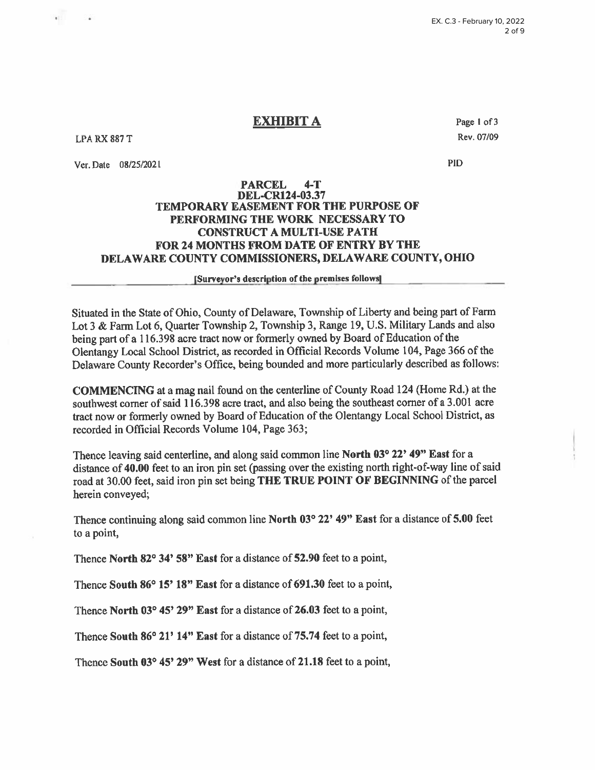**LPA RX 887 T** 

Ver. Date 08/25/2021

Page 1 of 3 Rev. 07/09

PID

### **PARCEL DEL-CR124-03.37 TEMPORARY EASEMENT FOR THE PURPOSE OF** PERFORMING THE WORK NECESSARY TO **CONSTRUCT A MULTI-USE PATH FOR 24 MONTHS FROM DATE OF ENTRY BY THE** DELAWARE COUNTY COMMISSIONERS, DELAWARE COUNTY, OHIO

[Surveyor's description of the premises follows]

Situated in the State of Ohio, County of Delaware, Township of Liberty and being part of Farm Lot 3 & Farm Lot 6, Quarter Township 2, Township 3, Range 19, U.S. Military Lands and also being part of a 116.398 acre tract now or formerly owned by Board of Education of the Olentangy Local School District, as recorded in Official Records Volume 104, Page 366 of the Delaware County Recorder's Office, being bounded and more particularly described as follows:

**COMMENCING** at a mag nail found on the centerline of County Road 124 (Home Rd.) at the southwest corner of said 116.398 acre tract, and also being the southeast corner of a 3.001 acre tract now or formerly owned by Board of Education of the Olentangy Local School District, as recorded in Official Records Volume 104, Page 363;

Thence leaving said centerline, and along said common line North 03° 22' 49" East for a distance of 40.00 feet to an iron pin set (passing over the existing north right-of-way line of said road at 30.00 feet, said iron pin set being THE TRUE POINT OF BEGINNING of the parcel herein conveyed;

Thence continuing along said common line North 03° 22' 49" East for a distance of 5.00 feet to a point,

Thence North 82° 34' 58" East for a distance of 52.90 feet to a point,

Thence South 86° 15' 18" East for a distance of 691.30 feet to a point,

Thence North 03° 45' 29" East for a distance of 26.03 feet to a point,

Thence South 86° 21' 14" East for a distance of 75.74 feet to a point,

Thence South 03° 45' 29" West for a distance of 21.18 feet to a point,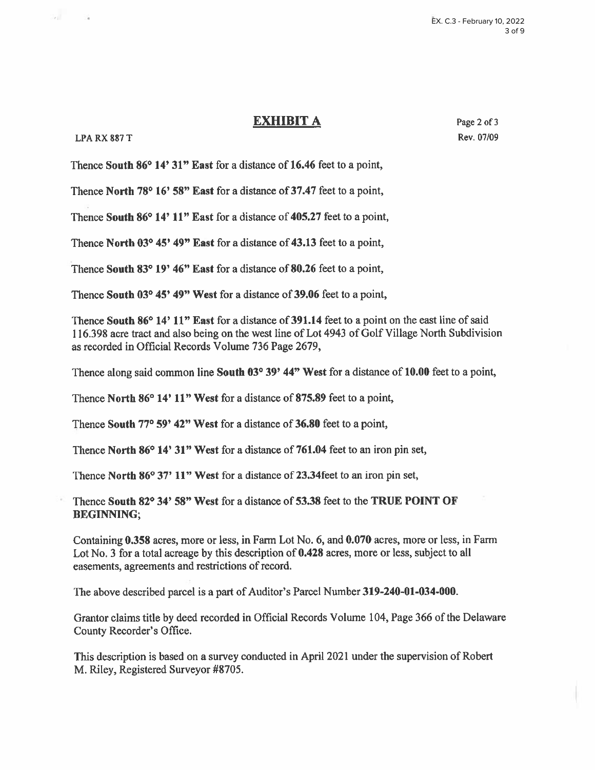### LPARX 887 T

 $\sim$ 

 $\sim$ 

Page 2 of 3 Rev. 07/09

Thence South 86° 14' 31" East for a distance of 16.46 feet to a point,

Thence North 78° 16' 58" East for a distance of 37.47 feet to a point,

Thence South 86° 14' 11" East for a distance of 405.27 feet to a point,

Thence North 03° 45' 49" East for a distance of 43.13 feet to a point,

Thence South 83° 19' 46" East for a distance of 80.26 feet to a point,

Thence South 03° 45' 49" West for a distance of 39.06 feet to a point,

Thence South 86° 14' 11" East for a distance of 391.14 feet to a point on the east line of said 116.398 acre tract and also being on the west line of Lot 4943 of Golf Village North Subdivision as recorded in Official Records Volume 736 Page 2679,

Thence along said common line South 03° 39' 44" West for a distance of 10.00 feet to a point,

Thence North 86° 14' 11" West for a distance of 875.89 feet to a point,

Thence South 77° 59' 42" West for a distance of 36.80 feet to a point,

Thence North 86° 14' 31" West for a distance of 761.04 feet to an iron pin set,

Thence North 86° 37' 11" West for a distance of 23.34 feet to an iron pin set,

Thence South 82° 34' 58" West for a distance of 53.38 feet to the TRUE POINT OF **BEGINNING;** 

Containing 0.358 acres, more or less, in Farm Lot No. 6, and 0.070 acres, more or less, in Farm Lot No. 3 for a total acreage by this description of 0.428 acres, more or less, subject to all easements, agreements and restrictions of record.

The above described parcel is a part of Auditor's Parcel Number 319-240-01-034-000.

Grantor claims title by deed recorded in Official Records Volume 104, Page 366 of the Delaware County Recorder's Office.

This description is based on a survey conducted in April 2021 under the supervision of Robert M. Riley, Registered Surveyor #8705.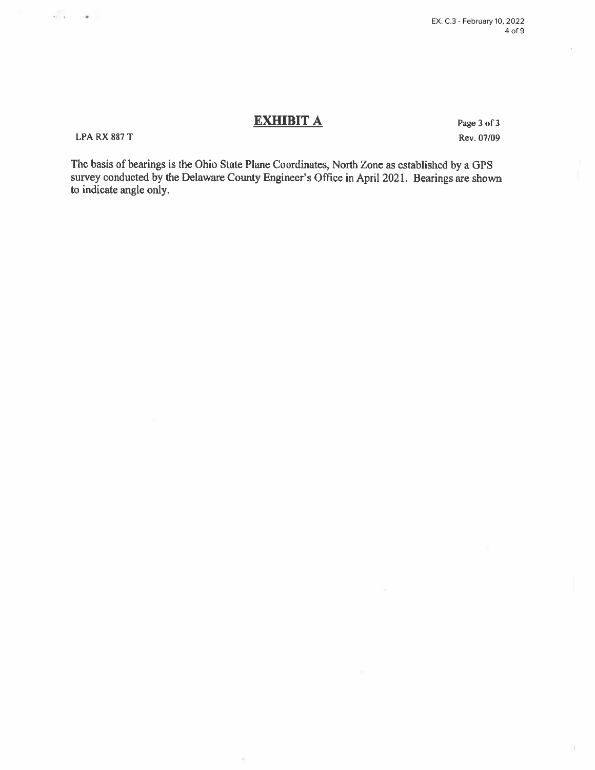### **LPA RX 887 T**

 $\frac{1}{2} \left( \frac{1}{2} \right) \left( \frac{1}{2} \right) \left( \frac{1}{2} \right) \left( \frac{1}{2} \right) \left( \frac{1}{2} \right)$ 

Page 3 of 3 Rev. 07/09

The basis of bearings is the Ohio State Plane Coordinates, North Zone as established by a GPS survey conducted by the Delaware County Engineer's Office in April 2021. Bearings are shown to indicate angle only.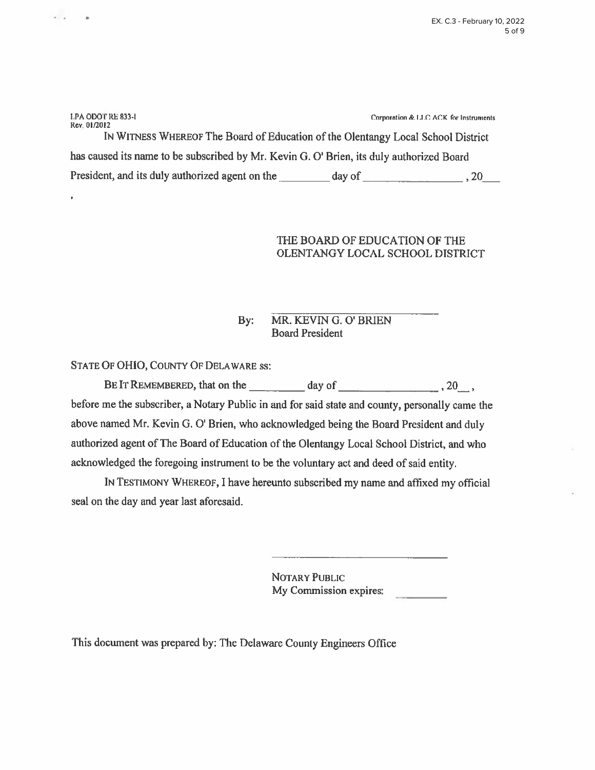| LPA ODOT RE 833-I<br>Rev. 01/2012                                                        | Corporation & LLC ACK for Instruments |  |  |  |  |  |
|------------------------------------------------------------------------------------------|---------------------------------------|--|--|--|--|--|
| IN WITNESS WHEREOF The Board of Education of the Olentangy Local School District         |                                       |  |  |  |  |  |
| has caused its name to be subscribed by Mr. Kevin G. O' Brien, its duly authorized Board |                                       |  |  |  |  |  |
| President, and its duly authorized agent on the                                          | day of<br>. 20                        |  |  |  |  |  |

# THE BOARD OF EDUCATION OF THE OLENTANGY LOCAL SCHOOL DISTRICT

#### MR. KEVIN G. O' BRIEN By: **Board President**

STATE OF OHIO, COUNTY OF DELAWARE SS:

 $+$   $+$ 

 $\overline{a}$ 

BE IT REMEMBERED, that on the  $\frac{1}{2}$  day of  $\frac{1}{2}$ ,  $\frac{1}{2}$ ,  $\frac{1}{2}$ ,  $\frac{1}{2}$ 

before me the subscriber, a Notary Public in and for said state and county, personally came the above named Mr. Kevin G. O' Brien, who acknowledged being the Board President and duly authorized agent of The Board of Education of the Olentangy Local School District, and who acknowledged the foregoing instrument to be the voluntary act and deed of said entity.

IN TESTIMONY WHEREOF, I have hereunto subscribed my name and affixed my official seal on the day and year last aforesaid.

> NOTARY PUBLIC My Commission expires:

This document was prepared by: The Delaware County Engineers Office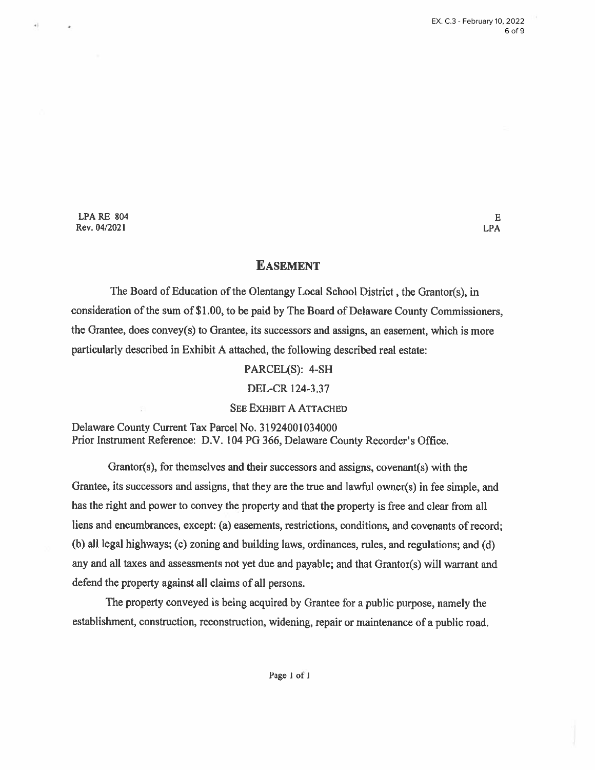**LPA RE 804** Rev. 04/2021

 $+1$ 

### **EASEMENT**

The Board of Education of the Olentangy Local School District, the Grantor(s), in consideration of the sum of \$1.00, to be paid by The Board of Delaware County Commissioners, the Grantee, does convey(s) to Grantee, its successors and assigns, an easement, which is more particularly described in Exhibit A attached, the following described real estate:

### PARCEL(S): 4-SH

### DEL-CR 124-3.37

### **SEE EXHIBIT A ATTACHED**

Delaware County Current Tax Parcel No. 31924001034000 Prior Instrument Reference: D.V. 104 PG 366, Delaware County Recorder's Office.

Grantor(s), for themselves and their successors and assigns, covenant(s) with the Grantee, its successors and assigns, that they are the true and lawful owner(s) in fee simple, and has the right and power to convey the property and that the property is free and clear from all liens and encumbrances, except: (a) easements, restrictions, conditions, and covenants of record; (b) all legal highways; (c) zoning and building laws, ordinances, rules, and regulations; and (d) any and all taxes and assessments not yet due and payable; and that Grantor(s) will warrant and defend the property against all claims of all persons.

The property conveyed is being acquired by Grantee for a public purpose, namely the establishment, construction, reconstruction, widening, repair or maintenance of a public road.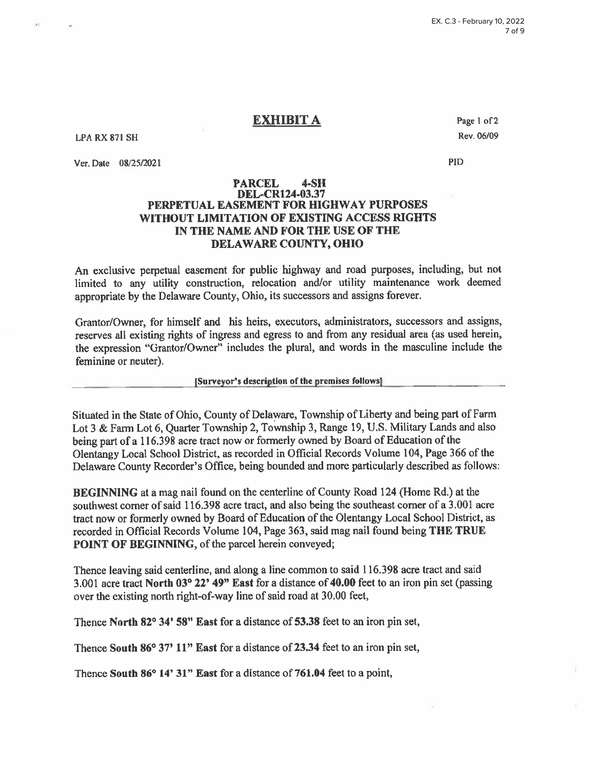**LPA RX 871 SH** 

Ver. Date 08/25/2021

Page 1 of 2 Rev. 06/09

PID

#### **PARCEL**  $4-SH$ **DEL-CR124-03.37** PERPETUAL EASEMENT FOR HIGHWAY PURPOSES WITHOUT LIMITATION OF EXISTING ACCESS RIGHTS IN THE NAME AND FOR THE USE OF THE **DELAWARE COUNTY, OHIO**

An exclusive perpetual easement for public highway and road purposes, including, but not limited to any utility construction, relocation and/or utility maintenance work deemed appropriate by the Delaware County, Ohio, its successors and assigns forever.

Grantor/Owner, for himself and his heirs, executors, administrators, successors and assigns, reserves all existing rights of ingress and egress to and from any residual area (as used herein, the expression "Grantor/Owner" includes the plural, and words in the masculine include the feminine or neuter).

[Surveyor's description of the premises follows]

Situated in the State of Ohio, County of Delaware, Township of Liberty and being part of Farm Lot 3 & Farm Lot 6, Quarter Township 2, Township 3, Range 19, U.S. Military Lands and also being part of a 116.398 acre tract now or formerly owned by Board of Education of the Olentangy Local School District, as recorded in Official Records Volume 104, Page 366 of the Delaware County Recorder's Office, being bounded and more particularly described as follows:

**BEGINNING** at a mag nail found on the centerline of County Road 124 (Home Rd.) at the southwest corner of said 116.398 acre tract, and also being the southeast corner of a 3.001 acre tract now or formerly owned by Board of Education of the Olentangy Local School District, as recorded in Official Records Volume 104, Page 363, said mag nail found being THE TRUE **POINT OF BEGINNING, of the parcel herein conveyed;** 

Thence leaving said centerline, and along a line common to said 116.398 acre tract and said 3.001 acre tract North 03° 22' 49" East for a distance of 40.00 feet to an iron pin set (passing over the existing north right-of-way line of said road at 30.00 feet,

Thence North 82° 34' 58" East for a distance of 53.38 feet to an iron pin set,

Thence South 86° 37' 11" East for a distance of 23.34 feet to an iron pin set,

Thence South 86° 14' 31" East for a distance of 761.04 feet to a point,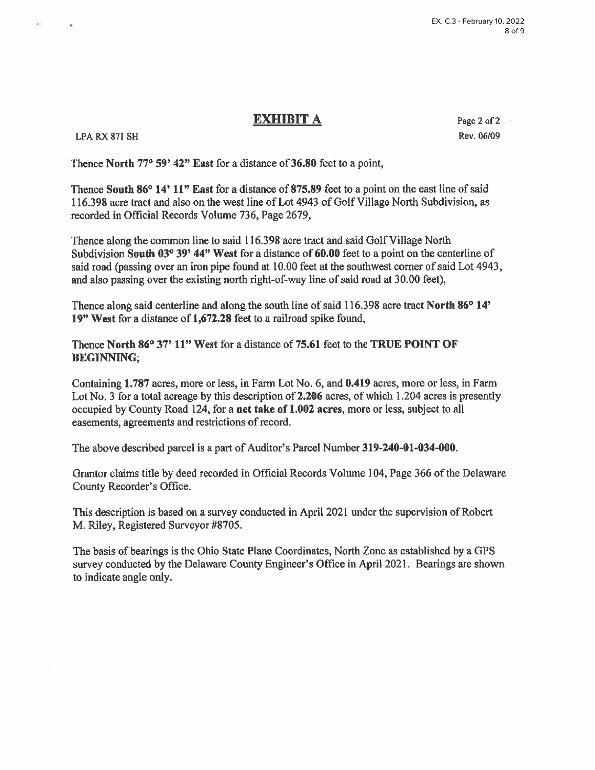### **LPA RX 871 SH**

Page 2 of 2 Rev. 06/09

Thence North 77° 59' 42" East for a distance of 36.80 feet to a point,

Thence South 86° 14' 11" East for a distance of 875.89 feet to a point on the east line of said 116.398 acre tract and also on the west line of Lot 4943 of Golf Village North Subdivision, as recorded in Official Records Volume 736, Page 2679,

Thence along the common line to said 116.398 acre tract and said Golf Village North Subdivision South  $03^{\circ}39'$  44" West for a distance of 60.00 feet to a point on the centerline of said road (passing over an iron pipe found at 10.00 feet at the southwest corner of said Lot 4943, and also passing over the existing north right-of-way line of said road at 30.00 feet).

Thence along said centerline and along the south line of said 116.398 acre tract North 86° 14' 19" West for a distance of 1,672.28 feet to a railroad spike found.

Thence North 86° 37' 11" West for a distance of 75.61 feet to the TRUE POINT OF **BEGINNING:** 

Containing 1.787 acres, more or less, in Farm Lot No. 6, and 0.419 acres, more or less, in Farm Lot No. 3 for a total acreage by this description of 2.206 acres, of which 1.204 acres is presently occupied by County Road 124, for a net take of 1.002 acres, more or less, subject to all easements, agreements and restrictions of record.

The above described parcel is a part of Auditor's Parcel Number 319-240-01-034-000.

Grantor claims title by deed recorded in Official Records Volume 104, Page 366 of the Delaware County Recorder's Office.

This description is based on a survey conducted in April 2021 under the supervision of Robert M. Riley, Registered Surveyor #8705.

The basis of bearings is the Ohio State Plane Coordinates, North Zone as established by a GPS survey conducted by the Delaware County Engineer's Office in April 2021. Bearings are shown to indicate angle only.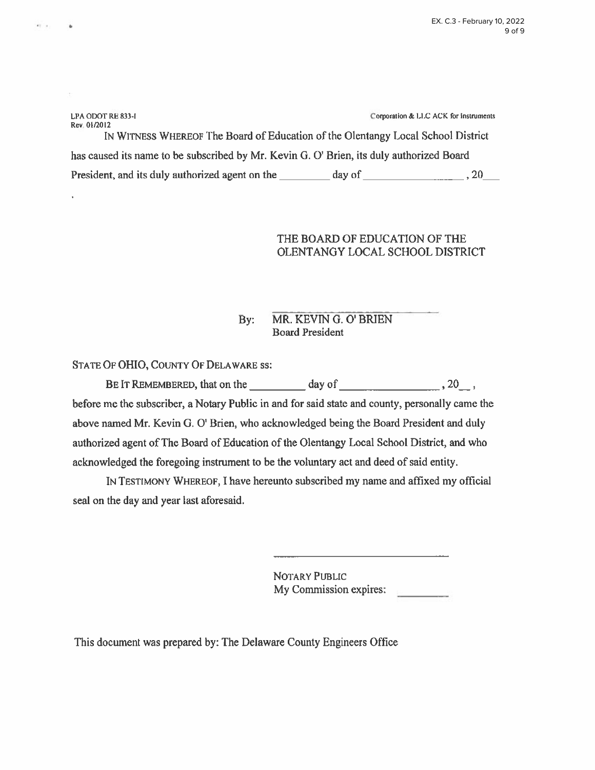| LPA ODOT RE 833-I<br>Rev. 01/2012                                                        |        | Corporation & LLC ACK for Instruments |  |  |  |
|------------------------------------------------------------------------------------------|--------|---------------------------------------|--|--|--|
| IN WITNESS WHEREOF The Board of Education of the Olentangy Local School District         |        |                                       |  |  |  |
| has caused its name to be subscribed by Mr. Kevin G. O' Brien, its duly authorized Board |        |                                       |  |  |  |
| President, and its duly authorized agent on the                                          | day of | . 20                                  |  |  |  |

## THE BOARD OF EDUCATION OF THE OLENTANGY LOCAL SCHOOL DISTRICT

#### MR. KEVIN G. O' BRIEN By: **Board President**

STATE OF OHIO, COUNTY OF DELAWARE SS:

ar a

before me the subscriber, a Notary Public in and for said state and county, personally came the above named Mr. Kevin G. O' Brien, who acknowledged being the Board President and duly authorized agent of The Board of Education of the Olentangy Local School District, and who acknowledged the foregoing instrument to be the voluntary act and deed of said entity.

IN TESTIMONY WHEREOF, I have hereunto subscribed my name and affixed my official seal on the day and year last aforesaid.

> **NOTARY PUBLIC** My Commission expires:

This document was prepared by: The Delaware County Engineers Office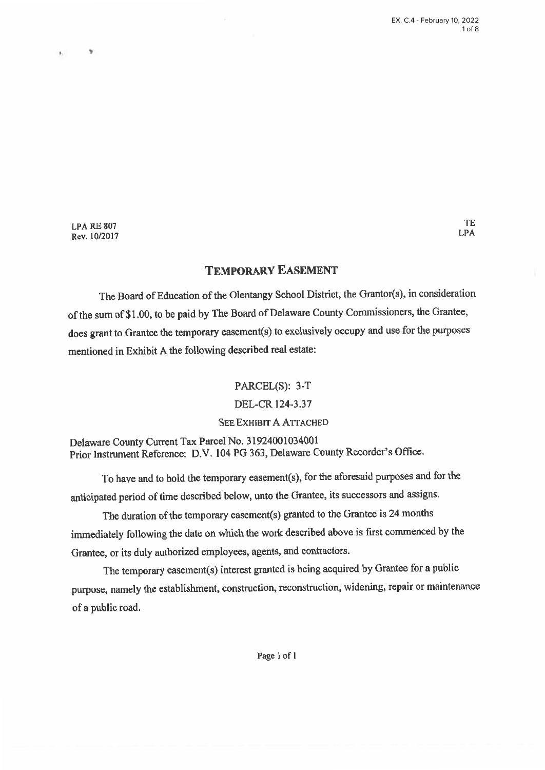TE

**LPA** 

**LPA RE 807** Rev. 10/2017

 $\rightarrow$ 

# **TEMPORARY EASEMENT**

The Board of Education of the Olentangy School District, the Grantor(s), in consideration of the sum of \$1.00, to be paid by The Board of Delaware County Commissioners, the Grantee, does grant to Grantee the temporary easement(s) to exclusively occupy and use for the purposes mentioned in Exhibit A the following described real estate:

> PARCEL(S): 3-T DEL-CR 124-3.37 **SEE EXHIBIT A ATTACHED**

Delaware County Current Tax Parcel No. 31924001034001 Prior Instrument Reference: D.V. 104 PG 363, Delaware County Recorder's Office.

To have and to hold the temporary easement(s), for the aforesaid purposes and for the anticipated period of time described below, unto the Grantee, its successors and assigns.

The duration of the temporary easement(s) granted to the Grantee is 24 months immediately following the date on which the work described above is first commenced by the Grantee, or its duly authorized employees, agents, and contractors.

The temporary easement(s) interest granted is being acquired by Grantee for a public purpose, namely the establishment, construction, reconstruction, widening, repair or maintenance of a public road.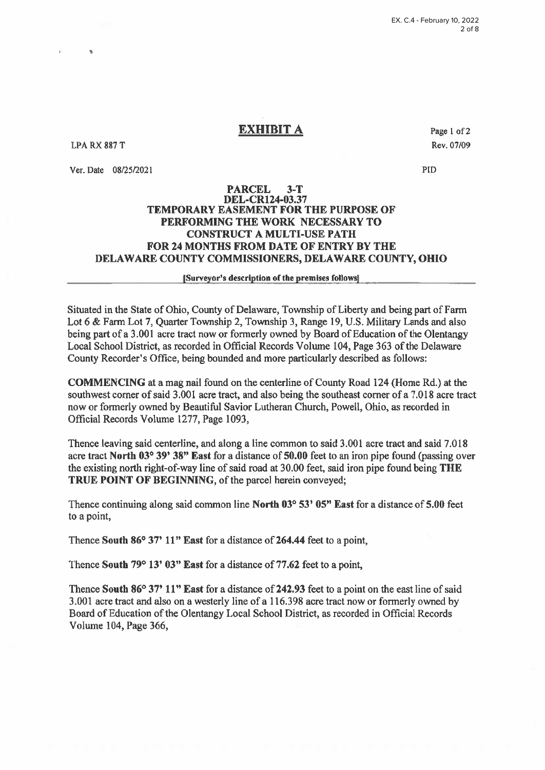**LPA RX 887 T** 

Ver. Date 08/25/2021

Page 1 of 2 Rev. 07/09

**PID** 

### **PARCEL**  $3-T$ **DEL-CR124-03.37 TEMPORARY EASEMENT FOR THE PURPOSE OF** PERFORMING THE WORK NECESSARY TO **CONSTRUCT A MULTI-USE PATH** FOR 24 MONTHS FROM DATE OF ENTRY BY THE DELAWARE COUNTY COMMISSIONERS, DELAWARE COUNTY, OHIO

### [Surveyor's description of the premises follows]

Situated in the State of Ohio, County of Delaware, Township of Liberty and being part of Farm Lot 6 & Farm Lot 7, Quarter Township 2, Township 3, Range 19, U.S. Military Lands and also being part of a 3.001 acre tract now or formerly owned by Board of Education of the Olentangy Local School District, as recorded in Official Records Volume 104, Page 363 of the Delaware County Recorder's Office, being bounded and more particularly described as follows:

**COMMENCING** at a mag nail found on the centerline of County Road 124 (Home Rd.) at the southwest corner of said 3.001 acre tract, and also being the southeast corner of a 7.018 acre tract now or formerly owned by Beautiful Savior Lutheran Church, Powell, Ohio, as recorded in Official Records Volume 1277, Page 1093,

Thence leaving said centerline, and along a line common to said 3.001 acre tract and said 7.018 acre tract North 03° 39' 38" East for a distance of 50.00 feet to an iron pipe found (passing over the existing north right-of-way line of said road at 30.00 feet, said iron pipe found being THE TRUE POINT OF BEGINNING, of the parcel herein conveyed;

Thence continuing along said common line North 03° 53' 05" East for a distance of 5.00 feet to a point,

Thence South 86° 37' 11" East for a distance of 264.44 feet to a point,

Thence South 79° 13' 03" East for a distance of 77.62 feet to a point,

Thence South 86° 37' 11" East for a distance of 242.93 feet to a point on the east line of said 3.001 acre tract and also on a westerly line of a 116.398 acre tract now or formerly owned by Board of Education of the Olentangy Local School District, as recorded in Official Records Volume 104, Page 366,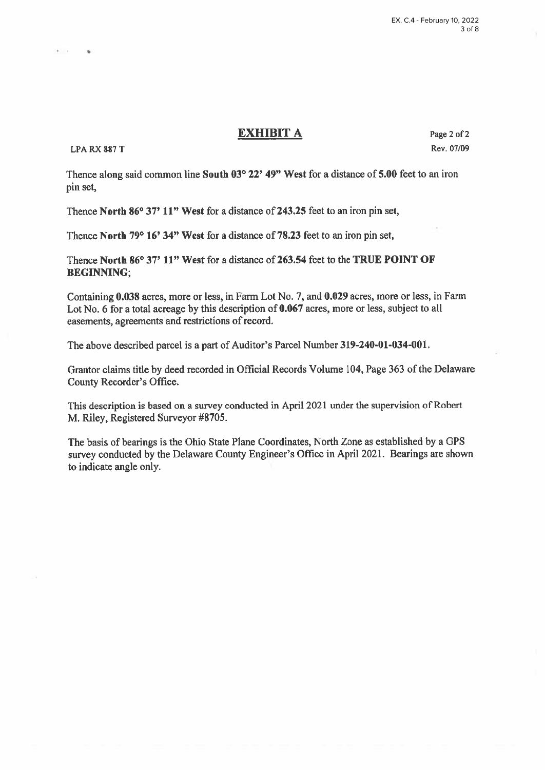### **LPA RX 887 T**

 $+$   $+$ 

Page 2 of 2 Rev. 07/09

Thence along said common line South 03° 22' 49" West for a distance of 5.00 feet to an iron pin set,

Thence North 86° 37' 11" West for a distance of 243.25 feet to an iron pin set,

Thence North 79° 16' 34" West for a distance of 78.23 feet to an iron pin set,

Thence North 86° 37' 11" West for a distance of 263.54 feet to the TRUE POINT OF **BEGINNING:** 

Containing 0.038 acres, more or less, in Farm Lot No. 7, and 0.029 acres, more or less, in Farm Lot No. 6 for a total acreage by this description of 0.067 acres, more or less, subject to all easements, agreements and restrictions of record.

The above described parcel is a part of Auditor's Parcel Number 319-240-01-034-001.

Grantor claims title by deed recorded in Official Records Volume 104, Page 363 of the Delaware County Recorder's Office.

This description is based on a survey conducted in April 2021 under the supervision of Robert M. Riley, Registered Surveyor #8705.

The basis of bearings is the Ohio State Plane Coordinates, North Zone as established by a GPS survey conducted by the Delaware County Engineer's Office in April 2021. Bearings are shown to indicate angle only.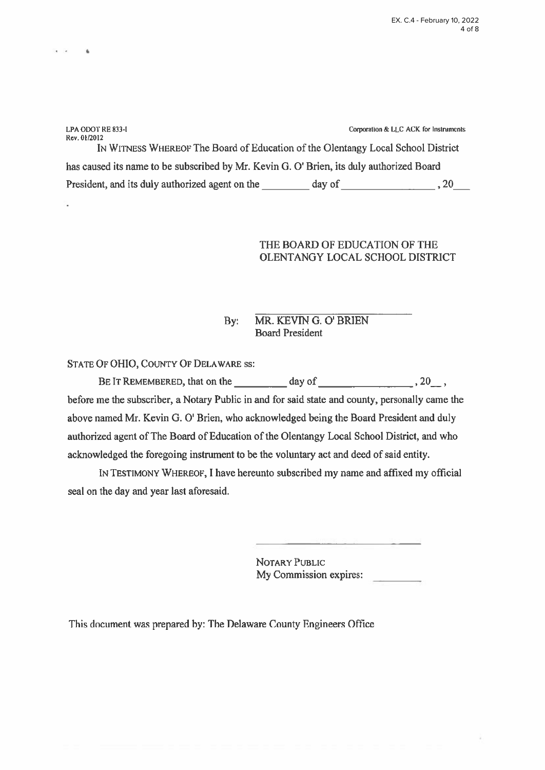Corporation & LLC ACK for Instruments LPA ODOT RE 833-I Rev. 01/2012 IN WITNESS WHEREOF The Board of Education of the Olentangy Local School District has caused its name to be subscribed by Mr. Kevin G. O' Brien, its duly authorized Board President, and its duly authorized agent on the day of day of 30 and 30 application.

# THE BOARD OF EDUCATION OF THE OLENTANGY LOCAL SCHOOL DISTRICT

#### MR. KEVIN G. O' BRIEN  $Bv:$ **Board President**

STATE OF OHIO, COUNTY OF DELAWARE SS:

 $\sim$ 

before me the subscriber, a Notary Public in and for said state and county, personally came the above named Mr. Kevin G. O' Brien, who acknowledged being the Board President and duly authorized agent of The Board of Education of the Olentangy Local School District, and who acknowledged the foregoing instrument to be the voluntary act and deed of said entity.

IN TESTIMONY WHEREOF, I have hereunto subscribed my name and affixed my official seal on the day and year last aforesaid.

> **NOTARY PUBLIC** My Commission expires:

This document was prepared by: The Delaware County Engineers Office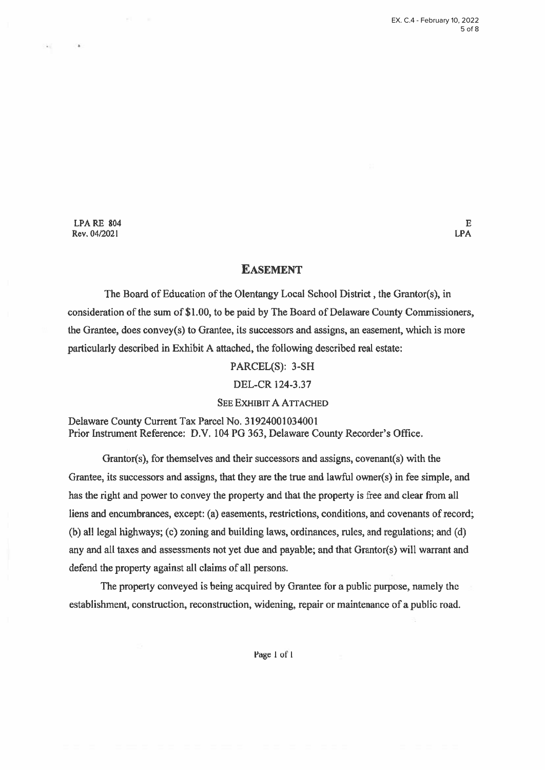**LPA RE 804** Rev. 04/2021

### **EASEMENT**

The Board of Education of the Olentangy Local School District, the Grantor(s), in consideration of the sum of \$1.00, to be paid by The Board of Delaware County Commissioners, the Grantee, does convey(s) to Grantee, its successors and assigns, an easement, which is more particularly described in Exhibit A attached, the following described real estate:

PARCEL(S): 3-SH

DEL-CR 124-3.37

**SEE EXHIBIT A ATTACHED** 

Delaware County Current Tax Parcel No. 31924001034001 Prior Instrument Reference: D.V. 104 PG 363, Delaware County Recorder's Office.

Grantor(s), for themselves and their successors and assigns, covenant(s) with the Grantee, its successors and assigns, that they are the true and lawful owner(s) in fee simple, and has the right and power to convey the property and that the property is free and clear from all liens and encumbrances, except: (a) easements, restrictions, conditions, and covenants of record; (b) all legal highways; (c) zoning and building laws, ordinances, rules, and regulations; and (d) any and all taxes and assessments not yet due and payable; and that Grantor(s) will warrant and defend the property against all claims of all persons.

The property conveyed is being acquired by Grantee for a public purpose, namely the establishment, construction, reconstruction, widening, repair or maintenance of a public road.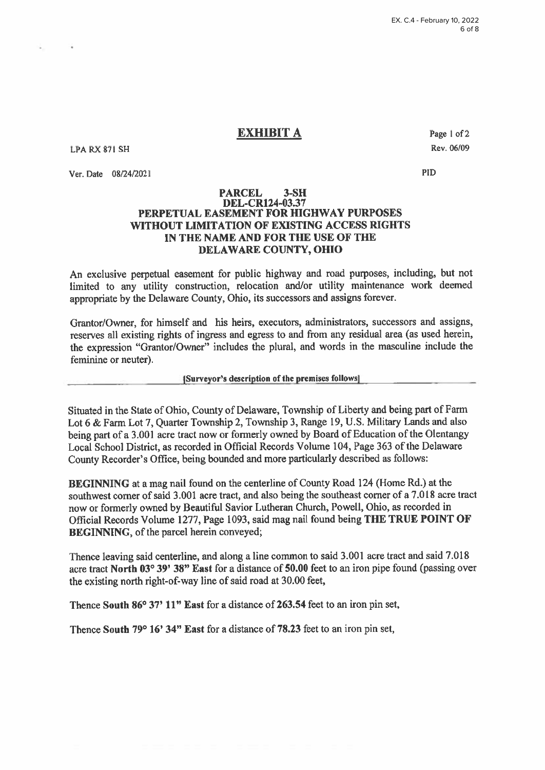**LPA RX 871 SH** 

Ver. Date 08/24/2021

Page 1 of 2 Rev. 06/09

**PID** 

#### **PARCEL**  $3-SH$ **DEL-CR124-03.37** PERPETUAL EASEMENT FOR HIGHWAY PURPOSES WITHOUT LIMITATION OF EXISTING ACCESS RIGHTS IN THE NAME AND FOR THE USE OF THE DELAWARE COUNTY, OHIO

An exclusive perpetual easement for public highway and road purposes, including, but not limited to any utility construction, relocation and/or utility maintenance work deemed appropriate by the Delaware County, Ohio, its successors and assigns forever.

Grantor/Owner, for himself and his heirs, executors, administrators, successors and assigns, reserves all existing rights of ingress and egress to and from any residual area (as used herein, the expression "Grantor/Owner" includes the plural, and words in the masculine include the feminine or neuter).

[Surveyor's description of the premises follows]

Situated in the State of Ohio, County of Delaware, Township of Liberty and being part of Farm Lot 6 & Farm Lot 7, Quarter Township 2, Township 3, Range 19, U.S. Military Lands and also being part of a 3.001 acre tract now or formerly owned by Board of Education of the Olentangy Local School District, as recorded in Official Records Volume 104, Page 363 of the Delaware County Recorder's Office, being bounded and more particularly described as follows:

**BEGINNING** at a mag nail found on the centerline of County Road 124 (Home Rd.) at the southwest corner of said 3.001 acre tract, and also being the southeast corner of a 7.018 acre tract now or formerly owned by Beautiful Savior Lutheran Church, Powell, Ohio, as recorded in Official Records Volume 1277, Page 1093, said mag nail found being THE TRUE POINT OF **BEGINNING**, of the parcel herein conveyed;

Thence leaving said centerline, and along a line common to said 3.001 acre tract and said 7.018 acre tract North 03° 39' 38" East for a distance of 50.00 feet to an iron pipe found (passing over the existing north right-of-way line of said road at 30.00 feet,

Thence South 86° 37' 11" East for a distance of 263.54 feet to an iron pin set,

Thence South 79° 16' 34" East for a distance of 78.23 feet to an iron pin set,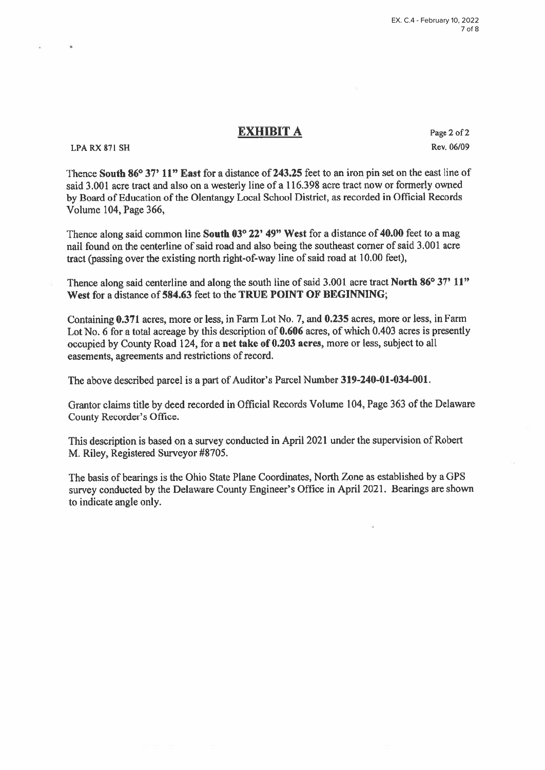**LPA RX 871 SH** 

Page 2 of 2 Rev. 06/09

Thence South 86° 37' 11" East for a distance of 243.25 feet to an iron pin set on the east line of said 3.001 acre tract and also on a westerly line of a 116.398 acre tract now or formerly owned by Board of Education of the Olentangy Local School District, as recorded in Official Records Volume 104, Page 366,

Thence along said common line South 03° 22' 49" West for a distance of 40.00 feet to a mag nail found on the centerline of said road and also being the southeast corner of said 3.001 acre tract (passing over the existing north right-of-way line of said road at 10.00 feet),

Thence along said centerline and along the south line of said 3.001 acre tract North 86° 37' 11" West for a distance of 584.63 feet to the TRUE POINT OF BEGINNING;

Containing 0.371 acres, more or less, in Farm Lot No. 7, and 0.235 acres, more or less, in Farm Lot No. 6 for a total acreage by this description of 0.606 acres, of which 0.403 acres is presently occupied by County Road 124, for a net take of 0.203 acres, more or less, subject to all easements, agreements and restrictions of record.

The above described parcel is a part of Auditor's Parcel Number 319-240-01-034-001.

Grantor claims title by deed recorded in Official Records Volume 104, Page 363 of the Delaware County Recorder's Office.

This description is based on a survey conducted in April 2021 under the supervision of Robert M. Riley, Registered Surveyor #8705.

The basis of bearings is the Ohio State Plane Coordinates, North Zone as established by a GPS survey conducted by the Delaware County Engineer's Office in April 2021. Bearings are shown to indicate angle only.